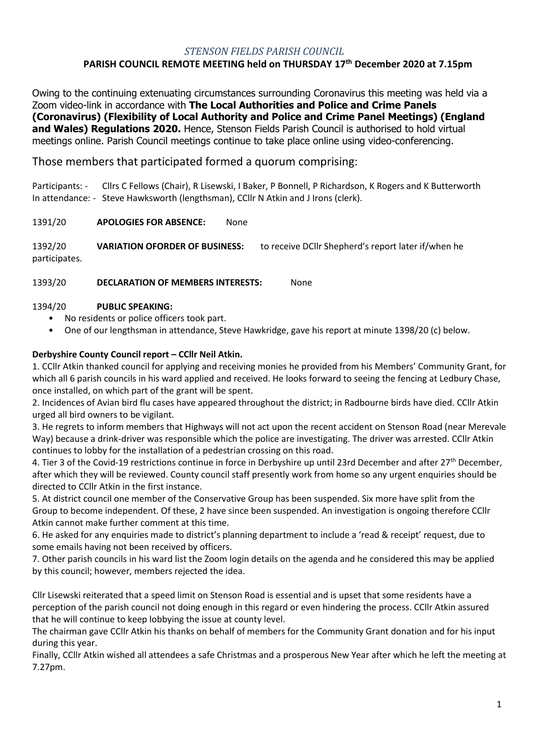#### *STENSON FIELDS PARISH COUNCIL*

# **PARISH COUNCIL REMOTE MEETING held on THURSDAY 17 th December 2020 at 7.15pm**

Owing to the continuing extenuating circumstances surrounding Coronavirus this meeting was held via a Zoom video-link in accordance with **The Local Authorities and Police and Crime Panels (Coronavirus) (Flexibility of Local Authority and Police and Crime Panel Meetings) (England and Wales) Regulations 2020.** Hence, Stenson Fields Parish Council is authorised to hold virtual meetings online. Parish Council meetings continue to take place online using video-conferencing.

# Those members that participated formed a quorum comprising:

Participants: - Cllrs C Fellows (Chair), R Lisewski, I Baker, P Bonnell, P Richardson, K Rogers and K Butterworth In attendance: - Steve Hawksworth (lengthsman), CCllr N Atkin and J Irons (clerk).

1391/20 **APOLOGIES FOR ABSENCE:** None

1392/20 **VARIATION OFORDER OF BUSINESS:** to receive DCllr Shepherd's report later if/when he participates.

1393/20 **DECLARATION OF MEMBERS INTERESTS:** None

#### 1394/20 **PUBLIC SPEAKING:**

- No residents or police officers took part.
- One of our lengthsman in attendance, Steve Hawkridge, gave his report at minute 1398/20 (c) below.

#### **Derbyshire County Council report – CCllr Neil Atkin.**

1. CCllr Atkin thanked council for applying and receiving monies he provided from his Members' Community Grant, for which all 6 parish councils in his ward applied and received. He looks forward to seeing the fencing at Ledbury Chase, once installed, on which part of the grant will be spent.

2. Incidences of Avian bird flu cases have appeared throughout the district; in Radbourne birds have died. CCllr Atkin urged all bird owners to be vigilant.

3. He regrets to inform members that Highways will not act upon the recent accident on Stenson Road (near Merevale Way) because a drink-driver was responsible which the police are investigating. The driver was arrested. CCllr Atkin continues to lobby for the installation of a pedestrian crossing on this road.

4. Tier 3 of the Covid-19 restrictions continue in force in Derbyshire up until 23rd December and after 27<sup>th</sup> December, after which they will be reviewed. County council staff presently work from home so any urgent enquiries should be directed to CCllr Atkin in the first instance.

5. At district council one member of the Conservative Group has been suspended. Six more have split from the Group to become independent. Of these, 2 have since been suspended. An investigation is ongoing therefore CCllr Atkin cannot make further comment at this time.

6. He asked for any enquiries made to district's planning department to include a 'read & receipt' request, due to some emails having not been received by officers.

7. Other parish councils in his ward list the Zoom login details on the agenda and he considered this may be applied by this council; however, members rejected the idea.

Cllr Lisewski reiterated that a speed limit on Stenson Road is essential and is upset that some residents have a perception of the parish council not doing enough in this regard or even hindering the process. CCllr Atkin assured that he will continue to keep lobbying the issue at county level.

The chairman gave CCllr Atkin his thanks on behalf of members for the Community Grant donation and for his input during this year.

Finally, CCllr Atkin wished all attendees a safe Christmas and a prosperous New Year after which he left the meeting at 7.27pm.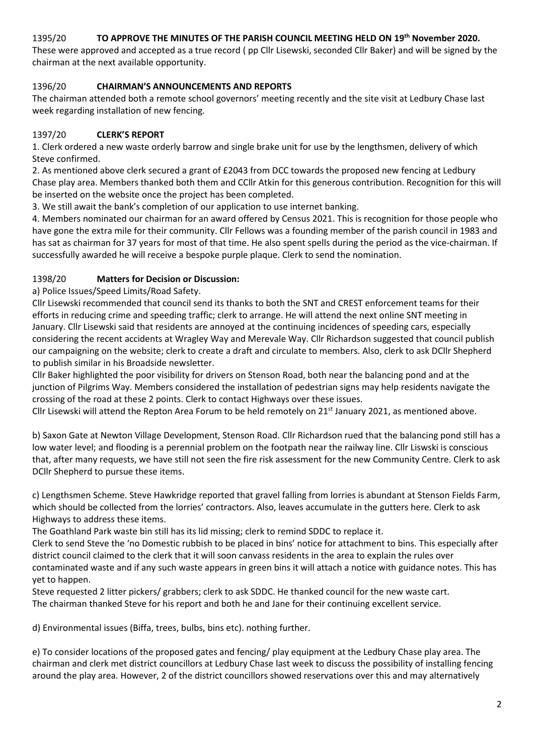#### 1395/20 **TO APPROVE THE MINUTES OF THE PARISH COUNCIL MEETING HELD ON 19th November 2020.**

These were approved and accepted as a true record ( pp Cllr Lisewski, seconded Cllr Baker) and will be signed by the chairman at the next available opportunity.

## 1396/20 **CHAIRMAN'S ANNOUNCEMENTS AND REPORTS**

The chairman attended both a remote school governors' meeting recently and the site visit at Ledbury Chase last week regarding installation of new fencing.

## 1397/20 **CLERK'S REPORT**

1. Clerk ordered a new waste orderly barrow and single brake unit for use by the lengthsmen, delivery of which Steve confirmed.

2. As mentioned above clerk secured a grant of £2043 from DCC towards the proposed new fencing at Ledbury Chase play area. Members thanked both them and CCllr Atkin for this generous contribution. Recognition for this will be inserted on the website once the project has been completed.

3. We still await the bank's completion of our application to use internet banking.

4. Members nominated our chairman for an award offered by Census 2021. This is recognition for those people who have gone the extra mile for their community. Cllr Fellows was a founding member of the parish council in 1983 and has sat as chairman for 37 years for most of that time. He also spent spells during the period as the vice-chairman. If successfully awarded he will receive a bespoke purple plaque. Clerk to send the nomination.

## 1398/20 **Matters for Decision or Discussion:**

a) Police Issues/Speed Limits/Road Safety.

Cllr Lisewski recommended that council send its thanks to both the SNT and CREST enforcement teams for their efforts in reducing crime and speeding traffic; clerk to arrange. He will attend the next online SNT meeting in January. Cllr Lisewski said that residents are annoyed at the continuing incidences of speeding cars, especially considering the recent accidents at Wragley Way and Merevale Way. Cllr Richardson suggested that council publish our campaigning on the website; clerk to create a draft and circulate to members. Also, clerk to ask DCllr Shepherd to publish similar in his Broadside newsletter.

Cllr Baker highlighted the poor visibility for drivers on Stenson Road, both near the balancing pond and at the junction of Pilgrims Way. Members considered the installation of pedestrian signs may help residents navigate the crossing of the road at these 2 points. Clerk to contact Highways over these issues.

Cllr Lisewski will attend the Repton Area Forum to be held remotely on  $21<sup>st</sup>$  January 2021, as mentioned above.

b) Saxon Gate at Newton Village Development, Stenson Road. Cllr Richardson rued that the balancing pond still has a low water level; and flooding is a perennial problem on the footpath near the railway line. Cllr Liswski is conscious that, after many requests, we have still not seen the fire risk assessment for the new Community Centre. Clerk to ask DCllr Shepherd to pursue these items.

c) Lengthsmen Scheme. Steve Hawkridge reported that gravel falling from lorries is abundant at Stenson Fields Farm, which should be collected from the lorries' contractors. Also, leaves accumulate in the gutters here. Clerk to ask Highways to address these items.

The Goathland Park waste bin still has its lid missing; clerk to remind SDDC to replace it.

Clerk to send Steve the 'no Domestic rubbish to be placed in bins' notice for attachment to bins. This especially after district council claimed to the clerk that it will soon canvass residents in the area to explain the rules over contaminated waste and if any such waste appears in green bins it will attach a notice with guidance notes. This has yet to happen.

Steve requested 2 litter pickers/ grabbers; clerk to ask SDDC. He thanked council for the new waste cart. The chairman thanked Steve for his report and both he and Jane for their continuing excellent service.

d) Environmental issues (Biffa, trees, bulbs, bins etc). nothing further.

e) To consider locations of the proposed gates and fencing/ play equipment at the Ledbury Chase play area. The chairman and clerk met district councillors at Ledbury Chase last week to discuss the possibility of installing fencing around the play area. However, 2 of the district councillors showed reservations over this and may alternatively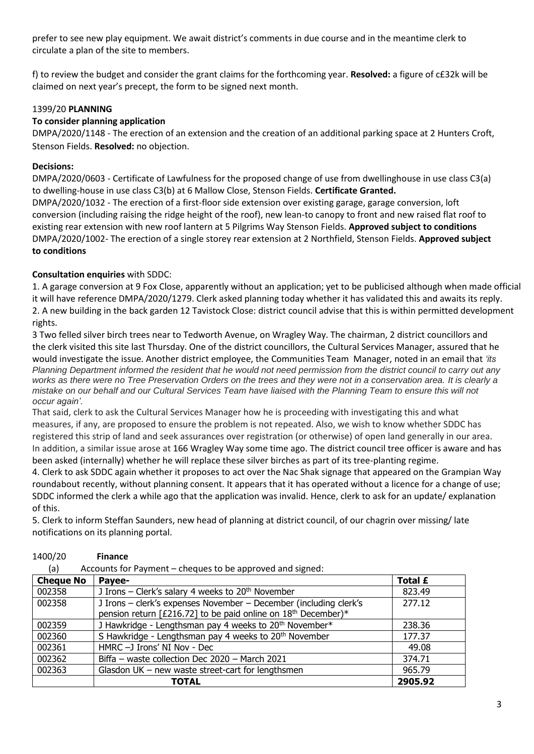prefer to see new play equipment. We await district's comments in due course and in the meantime clerk to circulate a plan of the site to members.

f) to review the budget and consider the grant claims for the forthcoming year. **Resolved:** a figure of c£32k will be claimed on next year's precept, the form to be signed next month.

## 1399/20 **PLANNING**

## **To consider planning application**

DMPA/2020/1148 - The erection of an extension and the creation of an additional parking space at 2 Hunters Croft, Stenson Fields. **Resolved:** no objection.

#### **Decisions:**

DMPA/2020/0603 - Certificate of Lawfulness for the proposed change of use from dwellinghouse in use class C3(a) to dwelling-house in use class C3(b) at 6 Mallow Close, Stenson Fields. **Certificate Granted.** DMPA/2020/1032 - The erection of a first-floor side extension over existing garage, garage conversion, loft conversion (including raising the ridge height of the roof), new lean-to canopy to front and new raised flat roof to existing rear extension with new roof lantern at 5 Pilgrims Way Stenson Fields. **Approved subject to conditions** DMPA/2020/1002- The erection of a single storey rear extension at 2 Northfield, Stenson Fields. **Approved subject to conditions**

## **Consultation enquiries** with SDDC:

1. A garage conversion at 9 Fox Close, apparently without an application; yet to be publicised although when made official it will have reference DMPA/2020/1279. Clerk asked planning today whether it has validated this and awaits its reply. 2. A new building in the back garden 12 Tavistock Close: district council advise that this is within permitted development rights.

3 Two felled silver birch trees near to Tedworth Avenue, on Wragley Way. The chairman, 2 district councillors and the clerk visited this site last Thursday. One of the district councillors, the Cultural Services Manager, assured that he would investigate the issue. Another district employee, the Communities Team Manager, noted in an email that *'its Planning Department informed the resident that he would not need permission from the district council to carry out any works as there were no Tree Preservation Orders on the trees and they were not in a conservation area. It is clearly a mistake on our behalf and our Cultural Services Team have liaised with the Planning Team to ensure this will not occur again'.* 

That said, clerk to ask the Cultural Services Manager how he is proceeding with investigating this and what measures, if any, are proposed to ensure the problem is not repeated. Also, we wish to know whether SDDC has registered this strip of land and seek assurances over registration (or otherwise) of open land generally in our area. In addition, a similar issue arose at 166 Wragley Way some time ago. The district council tree officer is aware and has been asked (internally) whether he will replace these silver birches as part of its tree-planting regime.

4. Clerk to ask SDDC again whether it proposes to act over the Nac Shak signage that appeared on the Grampian Way roundabout recently, without planning consent. It appears that it has operated without a licence for a change of use; SDDC informed the clerk a while ago that the application was invalid. Hence, clerk to ask for an update/ explanation of this.

5. Clerk to inform Steffan Saunders, new head of planning at district council, of our chagrin over missing/ late notifications on its planning portal.

| Accounts for Payment – cheques to be approved and signed:<br>(a) |                                                                                                                                                |         |  |  |  |
|------------------------------------------------------------------|------------------------------------------------------------------------------------------------------------------------------------------------|---------|--|--|--|
| <b>Cheque No</b>                                                 | Payee-                                                                                                                                         | Total £ |  |  |  |
| 002358                                                           | J Irons - Clerk's salary 4 weeks to 20 <sup>th</sup> November                                                                                  | 823.49  |  |  |  |
| 002358                                                           | J Irons - clerk's expenses November - December (including clerk's<br>pension return [£216.72] to be paid online on 18 <sup>th</sup> December)* | 277.12  |  |  |  |
| 002359                                                           | J Hawkridge - Lengthsman pay 4 weeks to 20 <sup>th</sup> November*                                                                             | 238.36  |  |  |  |
| 002360                                                           | S Hawkridge - Lengthsman pay 4 weeks to 20 <sup>th</sup> November                                                                              | 177.37  |  |  |  |
| 002361                                                           | HMRC -J Irons' NI Nov - Dec                                                                                                                    | 49.08   |  |  |  |
| 002362                                                           | Biffa - waste collection Dec 2020 - March 2021                                                                                                 | 374.71  |  |  |  |
| 002363                                                           | Glasdon UK - new waste street-cart for lengthsmen                                                                                              | 965.79  |  |  |  |
|                                                                  | <b>TOTAL</b>                                                                                                                                   | 2905.92 |  |  |  |

# 1400/20 **Finance**

(a) Accounts for Payment – cheques to be approved and signed: